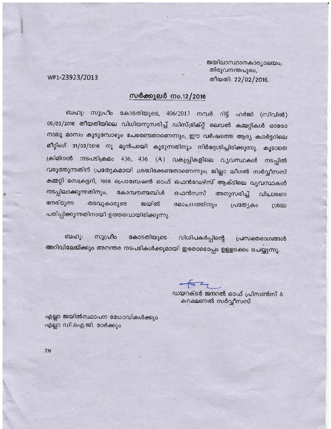ജയിലാസ്ഥാനകാര്യാലയം, തിരുവനന്തപുരം, തീയതി: 22/02/2016.

WP1-23923/2013

## സർക്കുലർ നം.12/2016

ബഹു: സുപ്രീം കോടതിയുടെ, 406/2013 നമ്പർ റിട്ട് ഹർജി (സിവിൽ) 05/02/2016 തീയതിയിലെ വിധിയനുസരിച്ച് ഡിസ്ട്രിക്റ്റ് ലെവൽ കമ്മറ്റികൾ ഓരോ നാലു മാസം കൂടുമ്പോഴും ചേരേണ്ടതാണെന്നും, ഈ വർഷത്തെ ആദ്യ ക്വാർട്ടറിലെ മീറ്റിംഗ് 31/03/2016 നു മുൻപായി കൂടുന്നതിനും നിർദ്ദേശിച്ചിരിക്കുന്നു. കൂടാതെ ക്രിമിനൽ നടപടിക്രമം 436, 436 (A) വകുപ്പികളിലെ വ്യവസ്ഥകൾ നടപ്പിൽ വരുത്തുന്നതിന് പ്രത്യേകമായി ശ്രദ്ധിക്കേണ്ടതാണെന്നും; ജില്ലാ ലീഗൽ സർവ്വീസസ് കമ്മറ്റി സെക്രട്ടറി, 1958 പ്രൊബേഷൻ ഓഫ് ഫെൻഡേഴ്സ് ആക്ടിലെ വൃവസ്ഥകൾ നടപ്പിലാക്കുന്നതിനും, കോമ്പൗണ്ടബിൾ ഒഫൻസസ് അനുസരിച്ച് വിചാരണ നേരിടുന്ന തടവുകാരുടെ ജയിൽ മോചനത്തിനും പ്രത്യേകം ശ്രദ്ധ പതിപ്പിക്കുന്നതിനായി ഉത്തരവായിരിക്കുന്നു.

കോടതിയുടെ ബഹു: സുപ്രീം വിധിപകർപ്പിന്റെ **്പ്രസക്തഭാഗങ്ങൾ** അറിവിലേയ്ക്കും അനന്തര നടപടികൾക്കുമായി ഇതോടൊപ്പം ഉള്ളടക്കം ചെയ്യുന്നു.

ഡയറക്ടർ ജനറൽ ഓഫ് പ്രിസൺസ് & കറക്ഷണൽ സർവ്വീസസ്

എല്ലാ ജയിൽസ്ഥാപന മേധാവികൾക്കും എല്ലാ ഡി.ഐ.ജി. മാർക്കും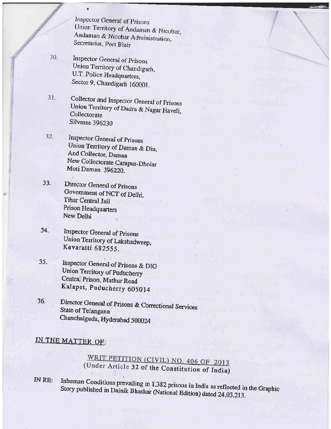Inspector General of Prisons Union Territory of Andaman & Nicobar, Andaman & Nicobar Administration, Secretariat, Port Blair

- 30. Inspector General of Prisons Union Territory of Chandigarh, U.T. Police Headquarters, Sector 9, Chandigarh 160001.
- Collector and Inspector General of Prisons 31. Union Territory of Dadra & Nagar Haveli, Collectorate Silvassa 396230
- 32. **Inspector General of Prisons** Union Territory of Daman & Diu, And Collector, Daman New Collectorate Campus-Dholar Moti Daman 396220.
- $33.$ Director General of Prisons Government of NCT of Delhi, Tihar Central Jail Prison Headquarters New Delhi
- 34. **Inspector General of Prisons** Union Territory of Lakshadweep, Kavaratti 682555.
- Inspector General of Prisons & DIG 35. Union Territory of Puducherry Central Prison, Mathur Road Kalapet, Puducherry 605014
- Director General of Prisons & Correctional Services 36. **State of Telangana** Chanchalguda, Hyderabad 500024

## IN THE MATTER OF:

WRIT PETITION (CIVIL) NO. 406 OF 2013 (Under Article 32 of the Constitution of India)

Inhuman Conditions prevailing in 1,382 prisons in India as reflected in the Graphic IN RE: Story published in Dainik Bhaskar (National Edition) dated 24.03.213.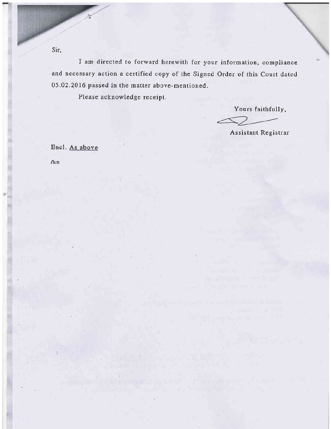I am directed to forward herewith for your information, compliance and necessary action a certified copy of the Signed Order of this Court dated 05.02.2016 passed in the matter above-mentioned.

Please acknowledge receipt.

Yours faithfully,

Assistant Registrar

╱

Encl. As above

/lun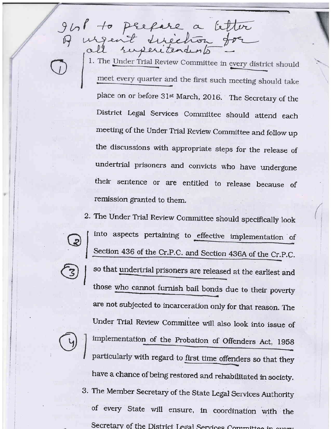1. The Under Trial Review Committee in every district should meet every quarter and the first such meeting should take place on or before 31st March, 2016. 'The Secretary of the District kgal services committee should attend each meeting of the Under Trial Review Committee and follow up the discussions with appropriate steps for the release of undertrial prisoners and convicts who have undergone their sentence or are entitled to release because of remission granted to them.

to perfere a letter

2. The Under Trial Review Committee should specifically look into aspects pertaining to effective implementation of Section 436 of the Cr.P.C. and Section 436A of the Cr.P.C. so that undertrial prisoners are released at the earliest and those who cannot furnish bail bonds due to their poverty are not subjected to incarceration only for that reason. The Under Trial Review Committee will also look into issue of I implementation of the Probation of Offenders Act, 1958 particularly with regard to first time offenders so that they have a chance of being restored and rehabilitated in society. 3. The Member Secretary of the State Legal Services Authority of every state \^dll ensure, in coordination with the Secretary of the District Legal Services Committee in ever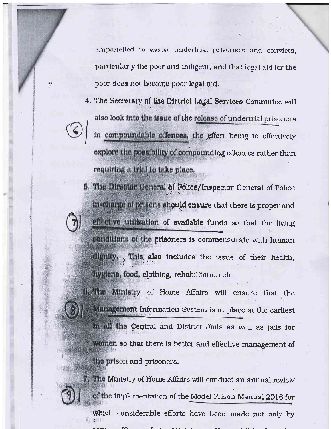empanelled to assist undertrial prisoners and convicts, particularly the poor and indigent, and that legal aid for the poor does not become poor legal aid.

4. The Secretary of the District Legal Services Committee will also look into the issue of the release of undertrial prisoners

in compoundable offences, the effort being to effectively explore the possibility of compounding offences rather than requiring a trial to take place.

5. The Director General of Police/Inspector General of Police in charge of prisons should ensure that there is proper and effective utilization of available funds so that the living conditions of the prisoners is commensurate with human dignity. This also includes the issue of their health. lygiene, food, clothing, rehabilitation etc.

6. The Ministry of Home Affairs will ensure that the Munagement Information System is in place at the earliest In all the Central and District Jails as well as jails for women so that there is better and effective management of the prison and prisoners.

7. The Ministry of Home Affairs will conduct an annual review of the implementation of the Model Prison Manual 2016 for which considerable efforts have been made not only by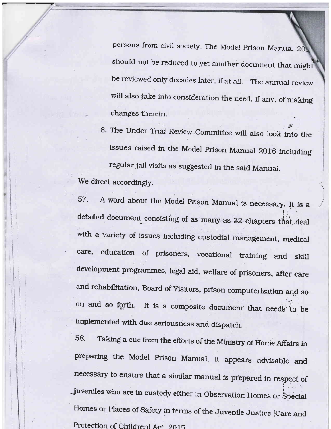persons from civil society. The Model Prison Manual 20 should not be reduced to yet another document that mighl be reviewed only decades later, if at all. The annual review will also take into consideration the need, if any, of making changes therein.

8. The Under Trial Review Committee will also look into the issues raised in the Model Prison Manual 2016 including regular jail visits as suggested in the said Manual. We direct accordingly.

 $\overline{\phantom{a}}$ 

57. A word about the Model Prison Manual is necessary. It is a detailed document consisting of as many as 32 ehapters that deal with a variety of issues including custodial management, medical care, education of prisoners, vocational training and skill development programmes, legal aid, welfare of prisoners, after care and rehabilitation, Board of Visitors, prison computerization and so on and so forth. It is a composite document that needs to be implemented with due seriousness and dispatch.

58. Taking a cue from the efforts of the Mtnistry of Home Affairs in preparing the Model Prison Manual, it appears advisable and necessary to ensure that a similar manual is prepared in respect of juveniles who are in custody either in Observation Homes or Special Homes or Places of safety in terms of the Juvenile Justice (care and Protection of Children) Act. 2015.